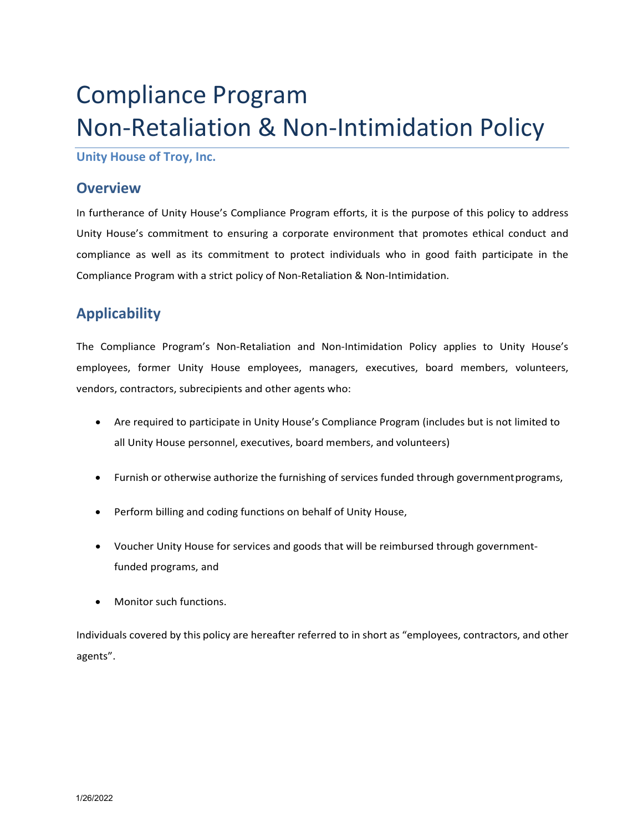# Compliance Program Non-Retaliation & Non-Intimidation Policy

**Unity House of Troy, Inc.**

### **Overview**

In furtherance of Unity House's Compliance Program efforts, it is the purpose of this policy to address Unity House's commitment to ensuring a corporate environment that promotes ethical conduct and compliance as well as its commitment to protect individuals who in good faith participate in the Compliance Program with a strict policy of Non-Retaliation & Non-Intimidation.

## **Applicability**

The Compliance Program's Non-Retaliation and Non-Intimidation Policy applies to Unity House's employees, former Unity House employees, managers, executives, board members, volunteers, vendors, contractors, subrecipients and other agents who:

- Are required to participate in Unity House's Compliance Program (includes but is not limited to all Unity House personnel, executives, board members, and volunteers)
- Furnish or otherwise authorize the furnishing of services funded through governmentprograms,
- Perform billing and coding functions on behalf of Unity House,
- Voucher Unity House for services and goods that will be reimbursed through governmentfunded programs, and
- Monitor such functions.

Individuals covered by this policy are hereafter referred to in short as "employees, contractors, and other agents".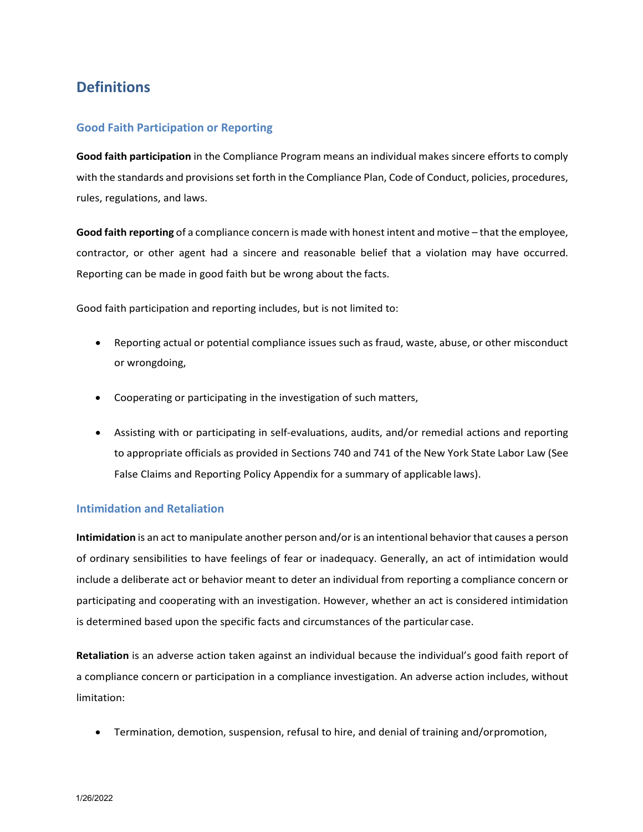## **Definitions**

#### **Good Faith Participation or Reporting**

**Good faith participation** in the Compliance Program means an individual makes sincere efforts to comply with the standards and provisionsset forth in the Compliance Plan, Code of Conduct, policies, procedures, rules, regulations, and laws.

**Good faith reporting** of a compliance concern is made with honest intent and motive – that the employee, contractor, or other agent had a sincere and reasonable belief that a violation may have occurred. Reporting can be made in good faith but be wrong about the facts.

Good faith participation and reporting includes, but is not limited to:

- Reporting actual or potential compliance issues such as fraud, waste, abuse, or other misconduct or wrongdoing,
- Cooperating or participating in the investigation of such matters,
- Assisting with or participating in self-evaluations, audits, and/or remedial actions and reporting to appropriate officials as provided in Sections 740 and 741 of the New York State Labor Law (See False Claims and Reporting Policy Appendix for a summary of applicable laws).

#### **Intimidation and Retaliation**

**Intimidation** is an act to manipulate another person and/or is an intentional behavior that causes a person of ordinary sensibilities to have feelings of fear or inadequacy. Generally, an act of intimidation would include a deliberate act or behavior meant to deter an individual from reporting a compliance concern or participating and cooperating with an investigation. However, whether an act is considered intimidation is determined based upon the specific facts and circumstances of the particular case.

**Retaliation** is an adverse action taken against an individual because the individual's good faith report of a compliance concern or participation in a compliance investigation. An adverse action includes, without limitation:

• Termination, demotion, suspension, refusal to hire, and denial of training and/orpromotion,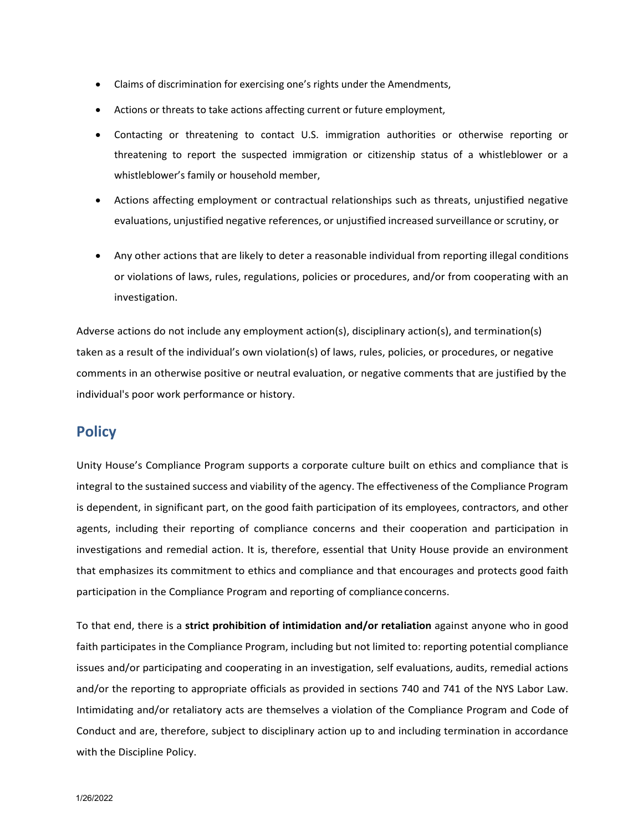- Claims of discrimination for exercising one's rights under the Amendments,
- Actions or threats to take actions affecting current or future employment,
- Contacting or threatening to contact U.S. immigration authorities or otherwise reporting or threatening to report the suspected immigration or citizenship status of a whistleblower or a whistleblower's family or household member,
- Actions affecting employment or contractual relationships such as threats, unjustified negative evaluations, unjustified negative references, or unjustified increased surveillance or scrutiny, or
- Any other actions that are likely to deter a reasonable individual from reporting illegal conditions or violations of laws, rules, regulations, policies or procedures, and/or from cooperating with an investigation.

Adverse actions do not include any employment action(s), disciplinary action(s), and termination(s) taken as a result of the individual's own violation(s) of laws, rules, policies, or procedures, or negative comments in an otherwise positive or neutral evaluation, or negative comments that are justified by the individual's poor work performance or history.

## **Policy**

Unity House's Compliance Program supports a corporate culture built on ethics and compliance that is integral to the sustained success and viability of the agency. The effectiveness of the Compliance Program is dependent, in significant part, on the good faith participation of its employees, contractors, and other agents, including their reporting of compliance concerns and their cooperation and participation in investigations and remedial action. It is, therefore, essential that Unity House provide an environment that emphasizes its commitment to ethics and compliance and that encourages and protects good faith participation in the Compliance Program and reporting of complianceconcerns.

To that end, there is a **strict prohibition of intimidation and/or retaliation** against anyone who in good faith participates in the Compliance Program, including but not limited to: reporting potential compliance issues and/or participating and cooperating in an investigation, self evaluations, audits, remedial actions and/or the reporting to appropriate officials as provided in sections 740 and 741 of the NYS Labor Law. Intimidating and/or retaliatory acts are themselves a violation of the Compliance Program and Code of Conduct and are, therefore, subject to disciplinary action up to and including termination in accordance with the Discipline Policy.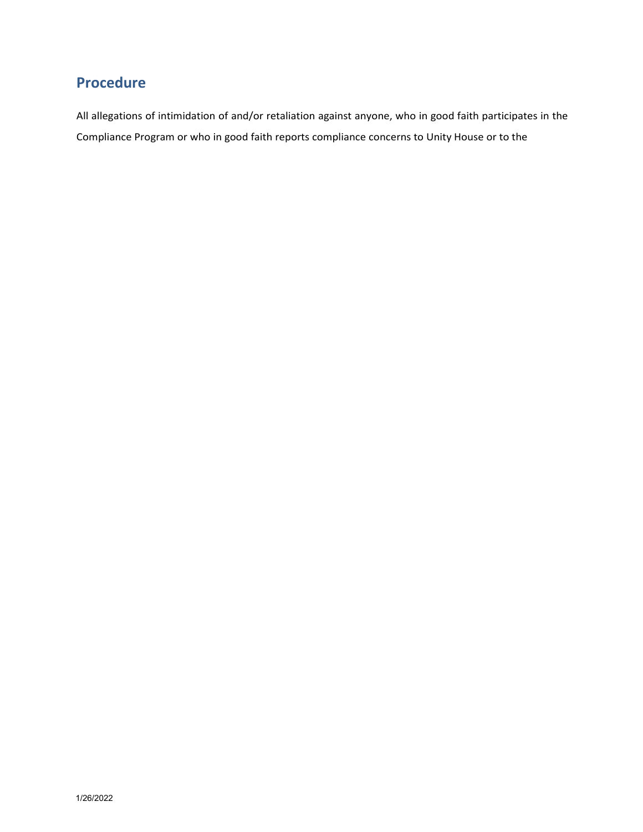## **Procedure**

All allegations of intimidation of and/or retaliation against anyone, who in good faith participates in the Compliance Program or who in good faith reports compliance concerns to Unity House or to the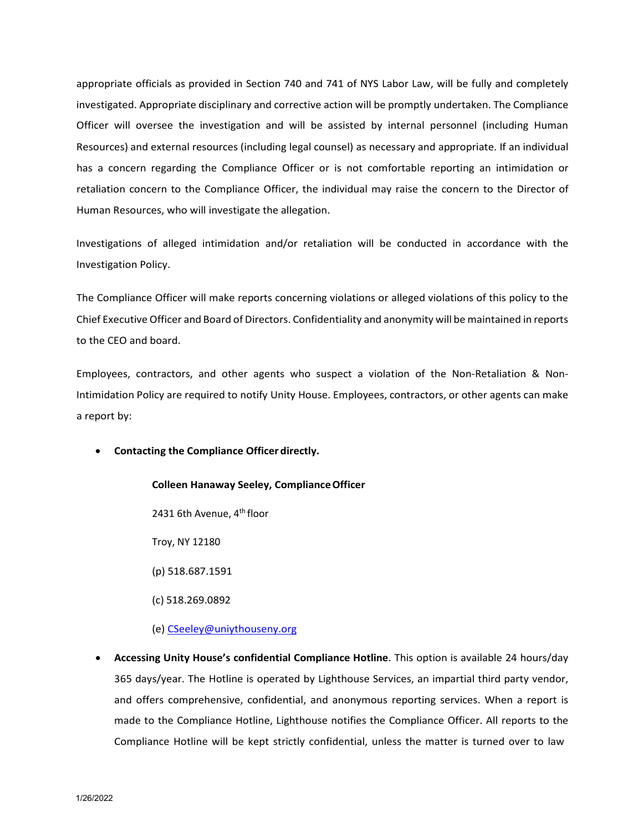appropriate officials as provided in Section 740 and 741 of NYS Labor Law, will be fully and completely investigated. Appropriate disciplinary and corrective action will be promptly undertaken. The Compliance Officer will oversee the investigation and will be assisted by internal personnel (including Human Resources) and external resources (including legal counsel) as necessary and appropriate. If an individual has a concern regarding the Compliance Officer or is not comfortable reporting an intimidation or retaliation concern to the Compliance Officer, the individual may raise the concern to the Director of Human Resources, who will investigate the allegation.

Investigations of alleged intimidation and/or retaliation will be conducted in accordance with the Investigation Policy.

The Compliance Officer will make reports concerning violations or alleged violations of this policy to the Chief Executive Officer and Board of Directors. Confidentiality and anonymity will be maintained in reports to the CEO and board.

Employees, contractors, and other agents who suspect a violation of the Non-Retaliation & Non-Intimidation Policy are required to notify Unity House. Employees, contractors, or other agents can make a report by:

• **Contacting the Compliance Officer directly.**

## **Colleen Hanaway Seeley, ComplianceOfficer**

2431 6th Avenue, 4<sup>th</sup> floor

Troy, NY 12180

(p) 518.687.1591

(c) 518.269.0892

#### (e) [CSeeley@uniythouseny.org](mailto:CSeeley@uniythouseny.org)

• **Accessing Unity House's confidential Compliance Hotline**. This option is available 24 hours/day 365 days/year. The Hotline is operated by Lighthouse Services, an impartial third party vendor, and offers comprehensive, confidential, and anonymous reporting services. When a report is made to the Compliance Hotline, Lighthouse notifies the Compliance Officer. All reports to the Compliance Hotline will be kept strictly confidential, unless the matter is turned over to law